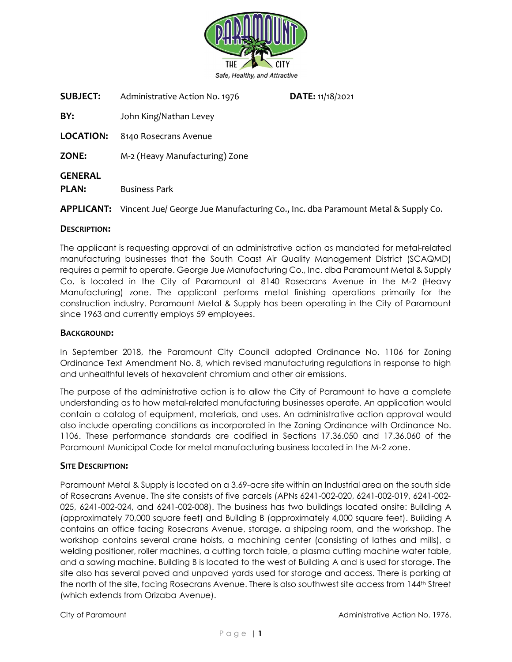

| <b>SUBJECT:</b>                | Administrative Action No. 1976 | DATE: 11/18/2021 |  |
|--------------------------------|--------------------------------|------------------|--|
| BY:                            | John King/Nathan Levey         |                  |  |
| <b>LOCATION:</b>               | 8140 Rosecrans Avenue          |                  |  |
| <b>ZONE:</b>                   | M-2 (Heavy Manufacturing) Zone |                  |  |
| <b>GENERAL</b><br><b>PLAN:</b> | <b>Business Park</b>           |                  |  |

APPLICANT: Vincent Jue/ George Jue Manufacturing Co., Inc. dba Paramount Metal & Supply Co.

### DESCRIPTION:

The applicant is requesting approval of an administrative action as mandated for metal-related manufacturing businesses that the South Coast Air Quality Management District (SCAQMD) requires a permit to operate. George Jue Manufacturing Co., Inc. dba Paramount Metal & Supply Co. is located in the City of Paramount at 8140 Rosecrans Avenue in the M-2 (Heavy Manufacturing) zone. The applicant performs metal finishing operations primarily for the construction industry. Paramount Metal & Supply has been operating in the City of Paramount since 1963 and currently employs 59 employees.

#### BACKGROUND:

In September 2018, the Paramount City Council adopted Ordinance No. 1106 for Zoning Ordinance Text Amendment No. 8, which revised manufacturing regulations in response to high and unhealthful levels of hexavalent chromium and other air emissions.

The purpose of the administrative action is to allow the City of Paramount to have a complete understanding as to how metal-related manufacturing businesses operate. An application would contain a catalog of equipment, materials, and uses. An administrative action approval would also include operating conditions as incorporated in the Zoning Ordinance with Ordinance No. 1106. These performance standards are codified in Sections 17.36.050 and 17.36.060 of the Paramount Municipal Code for metal manufacturing business located in the M-2 zone.

### SITE DESCRIPTION:

Paramount Metal & Supply is located on a 3.69-acre site within an Industrial area on the south side of Rosecrans Avenue. The site consists of five parcels (APNs 6241-002-020, 6241-002-019, 6241-002- 025, 6241-002-024, and 6241-002-008). The business has two buildings located onsite: Building A (approximately 70,000 square feet) and Building B (approximately 4,000 square feet). Building A contains an office facing Rosecrans Avenue, storage, a shipping room, and the workshop. The workshop contains several crane hoists, a machining center (consisting of lathes and mills), a welding positioner, roller machines, a cutting torch table, a plasma cutting machine water table, and a sawing machine. Building B is located to the west of Building A and is used for storage. The site also has several paved and unpaved yards used for storage and access. There is parking at the north of the site, facing Rosecrans Avenue. There is also southwest site access from 144th Street (which extends from Orizaba Avenue).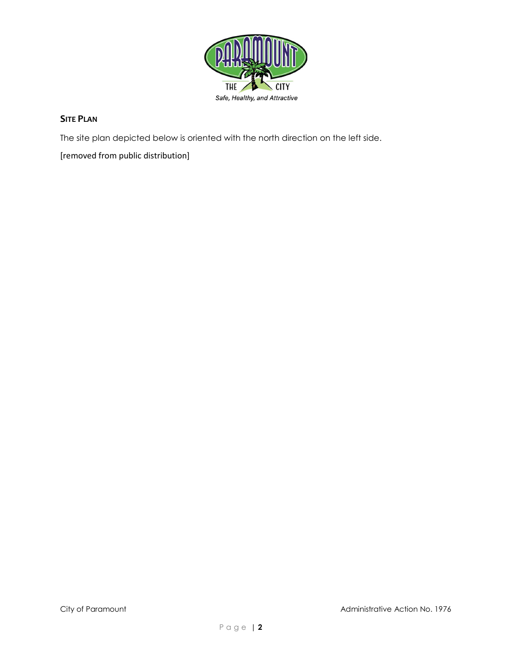

# **SITE PLAN**

The site plan depicted below is oriented with the north direction on the left side.

[removed from public distribution]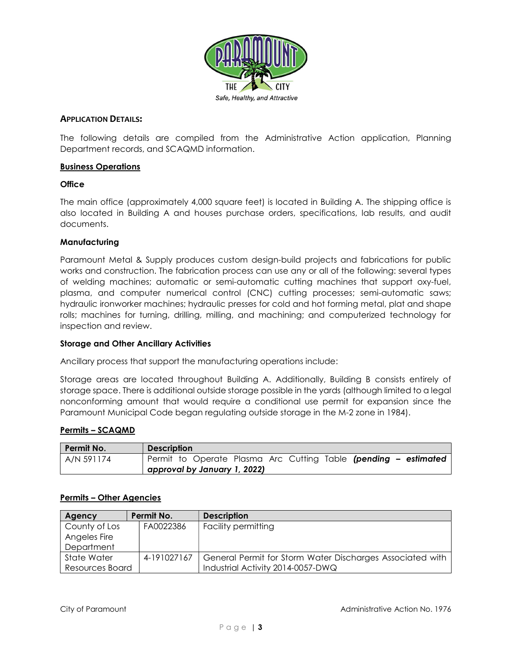

### APPLICATION DETAILS:

The following details are compiled from the Administrative Action application, Planning Department records, and SCAQMD information.

### Business Operations

### **Office**

The main office (approximately 4,000 square feet) is located in Building A. The shipping office is also located in Building A and houses purchase orders, specifications, lab results, and audit documents.

### Manufacturing

Paramount Metal & Supply produces custom design-build projects and fabrications for public works and construction. The fabrication process can use any or all of the following: several types of welding machines; automatic or semi-automatic cutting machines that support oxy-fuel, plasma, and computer numerical control (CNC) cutting processes; semi-automatic saws; hydraulic ironworker machines; hydraulic presses for cold and hot forming metal, plat and shape rolls; machines for turning, drilling, milling, and machining; and computerized technology for inspection and review.

#### Storage and Other Ancillary Activities

Ancillary process that support the manufacturing operations include:

Storage areas are located throughout Building A. Additionally, Building B consists entirely of storage space. There is additional outside storage possible in the yards (although limited to a legal nonconforming amount that would require a conditional use permit for expansion since the Paramount Municipal Code began regulating outside storage in the M-2 zone in 1984).

#### Permits – SCAQMD

| Permit No.                   | <b>Description</b>                                              |  |  |  |
|------------------------------|-----------------------------------------------------------------|--|--|--|
| A/N 591174                   | Permit to Operate Plasma Arc Cutting Table (pending - estimated |  |  |  |
| approval by January 1, 2022) |                                                                 |  |  |  |

# Permits – Other Agencies

| Agency          | Permit No.  | <b>Description</b>                                        |
|-----------------|-------------|-----------------------------------------------------------|
| County of Los   | FA0022386   | <b>Facility permitting</b>                                |
| Angeles Fire    |             |                                                           |
| Department      |             |                                                           |
| State Water     | 4-191027167 | General Permit for Storm Water Discharges Associated with |
| Resources Board |             | Industrial Activity 2014-0057-DWQ                         |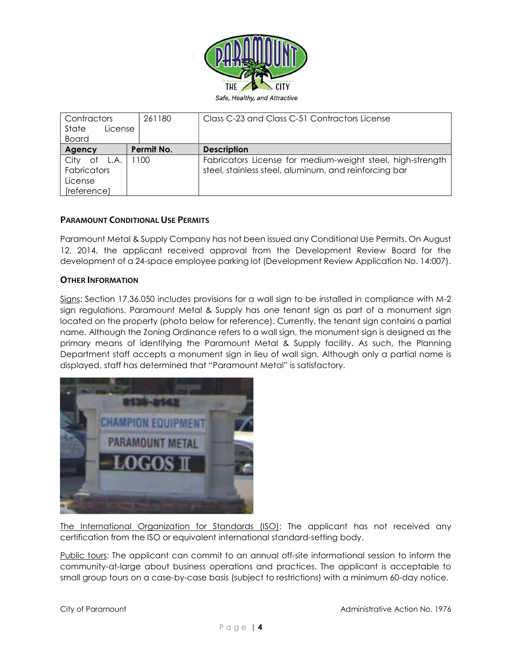

| Contractors                                              | 261180     | Class C-23 and Class C-51 Contractors License                                                                       |
|----------------------------------------------------------|------------|---------------------------------------------------------------------------------------------------------------------|
| State<br>License<br><b>Board</b>                         |            |                                                                                                                     |
|                                                          |            |                                                                                                                     |
| Agency                                                   | Permit No. | <b>Description</b>                                                                                                  |
| of L.A.<br>City<br>Fabricators<br>License<br>(reference) | 1100       | Fabricators License for medium-weight steel, high-strength<br>steel, stainless steel, aluminum, and reinforcing bar |

# PARAMOUNT CONDITIONAL USE PERMITS

Paramount Metal & Supply Company has not been issued any Conditional Use Permits. On August 12, 2014, the applicant received approval from the Development Review Board for the development of a 24-space employee parking lot (Development Review Application No. 14:007).

### OTHER INFORMATION

Signs: Section 17.36.050 includes provisions for a wall sign to be installed in compliance with M-2 sign regulations. Paramount Metal & Supply has one tenant sign as part of a monument sign located on the property (photo below for reference). Currently, the tenant sign contains a partial name. Although the Zoning Ordinance refers to a wall sign, the monument sign is designed as the primary means of identifying the Paramount Metal & Supply facility. As such, the Planning Department staff accepts a monument sign in lieu of wall sign. Although only a partial name is displayed, staff has determined that "Paramount Metal" is satisfactory.



The International Organization for Standards (ISO): The applicant has not received any certification from the ISO or equivalent international standard-setting body.

Public tours: The applicant can commit to an annual off-site informational session to inform the community-at-large about business operations and practices. The applicant is acceptable to small group tours on a case-by-case basis (subject to restrictions) with a minimum 60-day notice.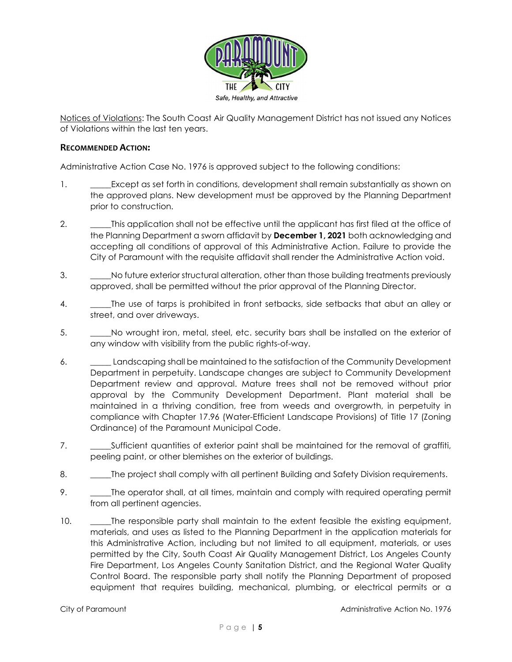

Notices of Violations: The South Coast Air Quality Management District has not issued any Notices of Violations within the last ten years.

# RECOMMENDED ACTION:

Administrative Action Case No. 1976 is approved subject to the following conditions:

- 1. **Except as set forth in conditions, development shall remain substantially as shown on** the approved plans. New development must be approved by the Planning Department prior to construction.
- 2. \_\_\_\_\_\_\_\_This application shall not be effective until the applicant has first filed at the office of the Planning Department a sworn affidavit by December 1, 2021 both acknowledging and accepting all conditions of approval of this Administrative Action. Failure to provide the City of Paramount with the requisite affidavit shall render the Administrative Action void.
- 3. \_\_\_\_\_No future exterior structural alteration, other than those building treatments previously approved, shall be permitted without the prior approval of the Planning Director.
- 4. The use of tarps is prohibited in front setbacks, side setbacks that abut an alley or street, and over driveways.
- 5. \_\_\_\_\_No wrought iron, metal, steel, etc. security bars shall be installed on the exterior of any window with visibility from the public rights-of-way.
- 6. \_\_\_\_\_ Landscaping shall be maintained to the satisfaction of the Community Development Department in perpetuity. Landscape changes are subject to Community Development Department review and approval. Mature trees shall not be removed without prior approval by the Community Development Department. Plant material shall be maintained in a thriving condition, free from weeds and overgrowth, in perpetuity in compliance with Chapter 17.96 (Water-Efficient Landscape Provisions) of Title 17 (Zoning Ordinance) of the Paramount Municipal Code.
- 7. \_\_\_\_\_\_\_\_\_Sufficient quantities of exterior paint shall be maintained for the removal of graffiti, peeling paint, or other blemishes on the exterior of buildings.
- 8. \_\_\_\_\_\_The project shall comply with all pertinent Building and Safety Division requirements.
- 9. \_\_\_\_\_The operator shall, at all times, maintain and comply with required operating permit from all pertinent agencies.
- 10. The responsible party shall maintain to the extent feasible the existing equipment, materials, and uses as listed to the Planning Department in the application materials for this Administrative Action, including but not limited to all equipment, materials, or uses permitted by the City, South Coast Air Quality Management District, Los Angeles County Fire Department, Los Angeles County Sanitation District, and the Regional Water Quality Control Board. The responsible party shall notify the Planning Department of proposed equipment that requires building, mechanical, plumbing, or electrical permits or a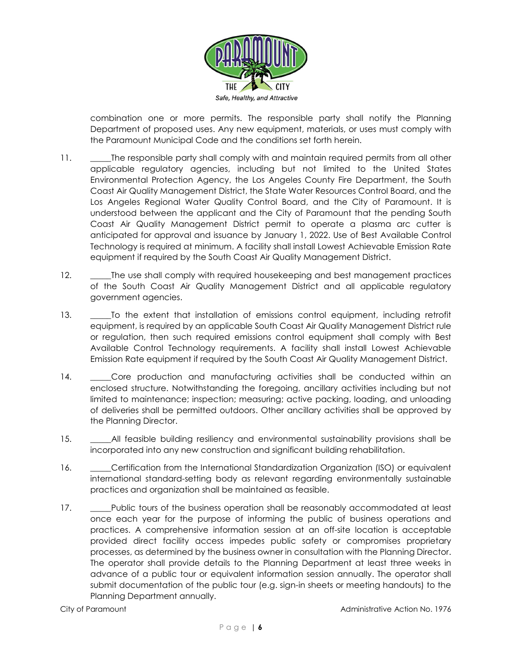

combination one or more permits. The responsible party shall notify the Planning Department of proposed uses. Any new equipment, materials, or uses must comply with the Paramount Municipal Code and the conditions set forth herein.

- 11. \_\_\_\_\_The responsible party shall comply with and maintain required permits from all other applicable regulatory agencies, including but not limited to the United States Environmental Protection Agency, the Los Angeles County Fire Department, the South Coast Air Quality Management District, the State Water Resources Control Board, and the Los Angeles Regional Water Quality Control Board, and the City of Paramount. It is understood between the applicant and the City of Paramount that the pending South Coast Air Quality Management District permit to operate a plasma arc cutter is anticipated for approval and issuance by January 1, 2022. Use of Best Available Control Technology is required at minimum. A facility shall install Lowest Achievable Emission Rate equipment if required by the South Coast Air Quality Management District.
- 12. \_\_\_\_\_The use shall comply with required housekeeping and best management practices of the South Coast Air Quality Management District and all applicable regulatory government agencies.
- 13. \_\_\_\_\_To the extent that installation of emissions control equipment, including retrofit equipment, is required by an applicable South Coast Air Quality Management District rule or regulation, then such required emissions control equipment shall comply with Best Available Control Technology requirements. A facility shall install Lowest Achievable Emission Rate equipment if required by the South Coast Air Quality Management District.
- 14. \_\_\_\_\_Core production and manufacturing activities shall be conducted within an enclosed structure. Notwithstanding the foregoing, ancillary activities including but not limited to maintenance; inspection; measuring; active packing, loading, and unloading of deliveries shall be permitted outdoors. Other ancillary activities shall be approved by the Planning Director.
- 15. All feasible building resiliency and environmental sustainability provisions shall be incorporated into any new construction and significant building rehabilitation.
- 16. **Example 16.** Certification from the International Standardization Organization (ISO) or equivalent international standard-setting body as relevant regarding environmentally sustainable practices and organization shall be maintained as feasible.
- 17. \_\_\_\_\_Public tours of the business operation shall be reasonably accommodated at least once each year for the purpose of informing the public of business operations and practices. A comprehensive information session at an off-site location is acceptable provided direct facility access impedes public safety or compromises proprietary processes, as determined by the business owner in consultation with the Planning Director. The operator shall provide details to the Planning Department at least three weeks in advance of a public tour or equivalent information session annually. The operator shall submit documentation of the public tour (e.g. sign-in sheets or meeting handouts) to the Planning Department annually.